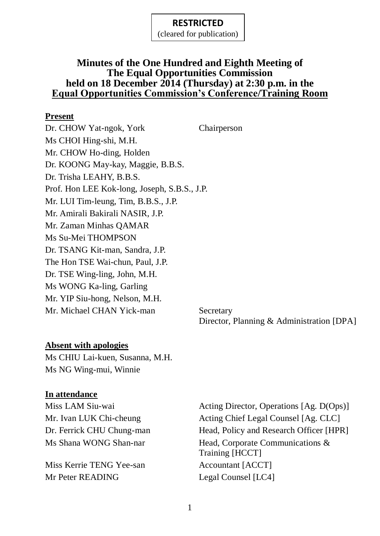(cleared for publication)

### **Minutes of the One Hundred and Eighth Meeting of The Equal Opportunities Commission held on 18 December 2014 (Thursday) at 2:30 p.m. in the Equal Opportunities Commission's Conference/Training Room**

### **Present**

Dr. CHOW Yat-ngok, York Chairperson Ms CHOI Hing-shi, M.H. Mr. CHOW Ho-ding, Holden Dr. KOONG May-kay, Maggie, B.B.S. Dr. Trisha LEAHY, B.B.S. Prof. Hon LEE Kok-long, Joseph, S.B.S., J.P. Mr. LUI Tim-leung, Tim, B.B.S., J.P. Mr. Amirali Bakirali NASIR, J.P. Mr. Zaman Minhas QAMAR Ms Su-Mei THOMPSON Dr. TSANG Kit-man, Sandra, J.P. The Hon TSE Wai-chun, Paul, J.P. Dr. TSE Wing-ling, John, M.H. Ms WONG Ka-ling, Garling Mr. YIP Siu-hong, Nelson, M.H. Mr. Michael CHAN Yick-man Secretary

Director, Planning & Administration [DPA]

### **Absent with apologies**

Ms CHIU Lai-kuen, Susanna, M.H. Ms NG Wing-mui, Winnie

#### **In attendance**

Miss Kerrie TENG Yee-san Accountant [ACCT] Mr Peter READING Legal Counsel [LC4]

Miss LAM Siu-wai Acting Director, Operations [Ag. D(Ops)] Mr. Ivan LUK Chi-cheung Acting Chief Legal Counsel [Ag. CLC] Dr. Ferrick CHU Chung-man Head, Policy and Research Officer [HPR] Ms Shana WONG Shan-nar Head, Corporate Communications & Training [HCCT]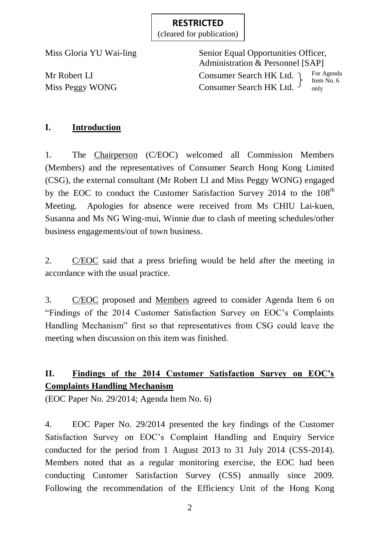(cleared for publication)

Miss Gloria YU Wai-ling Senior Equal Opportunities Officer, Administration & Personnel [SAP] Mr Robert LI Consumer Search HK Ltd. Miss Peggy WONG Consumer Search HK Ltd. For Agenda Item No. 6 only

# **I. Introduction**

1. The Chairperson (C/EOC) welcomed all Commission Members (Members) and the representatives of Consumer Search Hong Kong Limited (CSG), the external consultant (Mr Robert LI and Miss Peggy WONG) engaged by the EOC to conduct the Customer Satisfaction Survey 2014 to the 108<sup>th</sup> Meeting. Apologies for absence were received from Ms CHIU Lai-kuen, Susanna and Ms NG Wing-mui, Winnie due to clash of meeting schedules/other business engagements/out of town business.

2. C/EOC said that a press briefing would be held after the meeting in accordance with the usual practice.

3. C/EOC proposed and Members agreed to consider Agenda Item 6 on "Findings of the 2014 Customer Satisfaction Survey on EOC's Complaints Handling Mechanism" first so that representatives from CSG could leave the meeting when discussion on this item was finished.

# **II. Findings of the 2014 Customer Satisfaction Survey on EOC's Complaints Handling Mechanism**

(EOC Paper No. 29/2014; Agenda Item No. 6)

4. EOC Paper No. 29/2014 presented the key findings of the Customer Satisfaction Survey on EOC's Complaint Handling and Enquiry Service conducted for the period from 1 August 2013 to 31 July 2014 (CSS-2014). Members noted that as a regular monitoring exercise, the EOC had been conducting Customer Satisfaction Survey (CSS) annually since 2009. Following the recommendation of the Efficiency Unit of the Hong Kong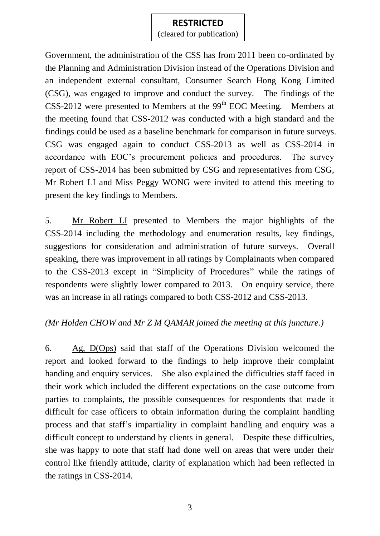(cleared for publication)

Government, the administration of the CSS has from 2011 been co-ordinated by the Planning and Administration Division instead of the Operations Division and an independent external consultant, Consumer Search Hong Kong Limited (CSG), was engaged to improve and conduct the survey. The findings of the  $CSS-2012$  were presented to Members at the  $99<sup>th</sup>$  EOC Meeting. Members at the meeting found that CSS-2012 was conducted with a high standard and the findings could be used as a baseline benchmark for comparison in future surveys. CSG was engaged again to conduct CSS-2013 as well as CSS-2014 in accordance with EOC's procurement policies and procedures. The survey report of CSS-2014 has been submitted by CSG and representatives from CSG, Mr Robert LI and Miss Peggy WONG were invited to attend this meeting to present the key findings to Members.

5. Mr Robert LI presented to Members the major highlights of the CSS-2014 including the methodology and enumeration results, key findings, suggestions for consideration and administration of future surveys. Overall speaking, there was improvement in all ratings by Complainants when compared to the CSS-2013 except in "Simplicity of Procedures" while the ratings of respondents were slightly lower compared to 2013. On enquiry service, there was an increase in all ratings compared to both CSS-2012 and CSS-2013.

### *(Mr Holden CHOW and Mr Z M QAMAR joined the meeting at this juncture.)*

6. Ag, D(Ops) said that staff of the Operations Division welcomed the report and looked forward to the findings to help improve their complaint handing and enquiry services. She also explained the difficulties staff faced in their work which included the different expectations on the case outcome from parties to complaints, the possible consequences for respondents that made it difficult for case officers to obtain information during the complaint handling process and that staff's impartiality in complaint handling and enquiry was a difficult concept to understand by clients in general. Despite these difficulties, she was happy to note that staff had done well on areas that were under their control like friendly attitude, clarity of explanation which had been reflected in the ratings in CSS-2014.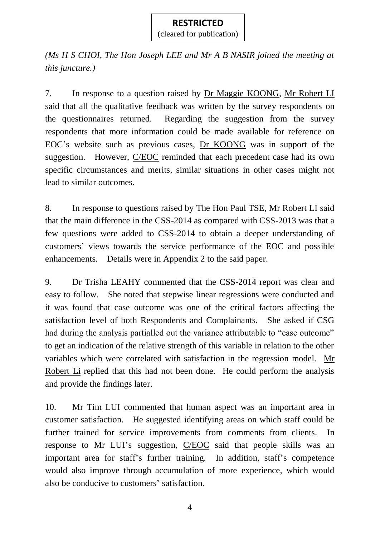*(Ms H S CHOI, The Hon Joseph LEE and Mr A B NASIR joined the meeting at this juncture.)*

7. In response to a question raised by Dr Maggie KOONG, Mr Robert LI said that all the qualitative feedback was written by the survey respondents on the questionnaires returned. Regarding the suggestion from the survey respondents that more information could be made available for reference on EOC's website such as previous cases, Dr KOONG was in support of the suggestion. However, C/EOC reminded that each precedent case had its own specific circumstances and merits, similar situations in other cases might not lead to similar outcomes.

8. In response to questions raised by The Hon Paul TSE, Mr Robert LI said that the main difference in the CSS-2014 as compared with CSS-2013 was that a few questions were added to CSS-2014 to obtain a deeper understanding of customers' views towards the service performance of the EOC and possible enhancements. Details were in Appendix 2 to the said paper.

9. Dr Trisha LEAHY commented that the CSS-2014 report was clear and easy to follow. She noted that stepwise linear regressions were conducted and it was found that case outcome was one of the critical factors affecting the satisfaction level of both Respondents and Complainants. She asked if CSG had during the analysis partialled out the variance attributable to "case outcome" to get an indication of the relative strength of this variable in relation to the other variables which were correlated with satisfaction in the regression model. Mr Robert Li replied that this had not been done. He could perform the analysis and provide the findings later.

10. Mr Tim LUI commented that human aspect was an important area in customer satisfaction. He suggested identifying areas on which staff could be further trained for service improvements from comments from clients. In response to Mr LUI's suggestion, C/EOC said that people skills was an important area for staff's further training. In addition, staff's competence would also improve through accumulation of more experience, which would also be conducive to customers' satisfaction.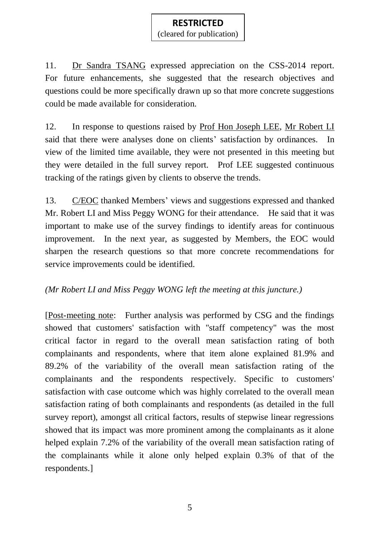(cleared for publication)

11. Dr Sandra TSANG expressed appreciation on the CSS-2014 report. For future enhancements, she suggested that the research objectives and questions could be more specifically drawn up so that more concrete suggestions could be made available for consideration.

12. In response to questions raised by Prof Hon Joseph LEE, Mr Robert LI said that there were analyses done on clients' satisfaction by ordinances. In view of the limited time available, they were not presented in this meeting but they were detailed in the full survey report. Prof LEE suggested continuous tracking of the ratings given by clients to observe the trends.

13. C/EOC thanked Members' views and suggestions expressed and thanked Mr. Robert LI and Miss Peggy WONG for their attendance. He said that it was important to make use of the survey findings to identify areas for continuous improvement. In the next year, as suggested by Members, the EOC would sharpen the research questions so that more concrete recommendations for service improvements could be identified.

### *(Mr Robert LI and Miss Peggy WONG left the meeting at this juncture.)*

[Post-meeting note: Further analysis was performed by CSG and the findings showed that customers' satisfaction with "staff competency" was the most critical factor in regard to the overall mean satisfaction rating of both complainants and respondents, where that item alone explained 81.9% and 89.2% of the variability of the overall mean satisfaction rating of the complainants and the respondents respectively. Specific to customers' satisfaction with case outcome which was highly correlated to the overall mean satisfaction rating of both complainants and respondents (as detailed in the full survey report), amongst all critical factors, results of stepwise linear regressions showed that its impact was more prominent among the complainants as it alone helped explain 7.2% of the variability of the overall mean satisfaction rating of the complainants while it alone only helped explain 0.3% of that of the respondents.]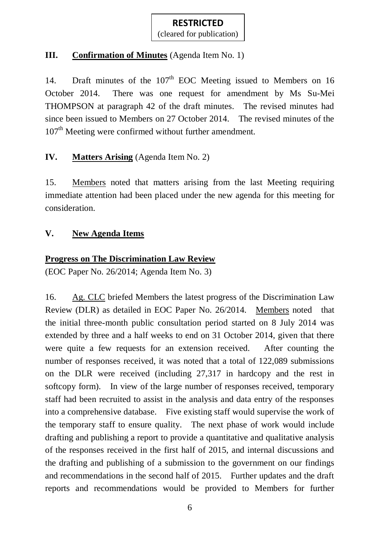# **III. Confirmation of Minutes** (Agenda Item No. 1)

14. Draft minutes of the 107<sup>th</sup> EOC Meeting issued to Members on 16 October 2014. There was one request for amendment by Ms Su-Mei THOMPSON at paragraph 42 of the draft minutes. The revised minutes had since been issued to Members on 27 October 2014. The revised minutes of the 107<sup>th</sup> Meeting were confirmed without further amendment.

# **IV. Matters Arising** (Agenda Item No. 2)

15. Members noted that matters arising from the last Meeting requiring immediate attention had been placed under the new agenda for this meeting for consideration.

### **V. New Agenda Items**

### **Progress on The Discrimination Law Review**

(EOC Paper No. 26/2014; Agenda Item No. 3)

16. Ag. CLC briefed Members the latest progress of the Discrimination Law Review (DLR) as detailed in EOC Paper No. 26/2014. Members noted that the initial three-month public consultation period started on 8 July 2014 was extended by three and a half weeks to end on 31 October 2014, given that there were quite a few requests for an extension received. After counting the number of responses received, it was noted that a total of 122,089 submissions on the DLR were received (including 27,317 in hardcopy and the rest in softcopy form). In view of the large number of responses received, temporary staff had been recruited to assist in the analysis and data entry of the responses into a comprehensive database. Five existing staff would supervise the work of the temporary staff to ensure quality. The next phase of work would include drafting and publishing a report to provide a quantitative and qualitative analysis of the responses received in the first half of 2015, and internal discussions and the drafting and publishing of a submission to the government on our findings and recommendations in the second half of 2015. Further updates and the draft reports and recommendations would be provided to Members for further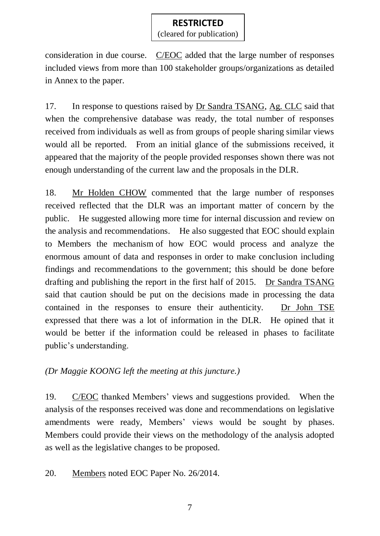(cleared for publication)

consideration in due course. C/EOC added that the large number of responses included views from more than 100 stakeholder groups/organizations as detailed in Annex to the paper.

17. In response to questions raised by Dr Sandra TSANG, Ag. CLC said that when the comprehensive database was ready, the total number of responses received from individuals as well as from groups of people sharing similar views would all be reported. From an initial glance of the submissions received, it appeared that the majority of the people provided responses shown there was not enough understanding of the current law and the proposals in the DLR.

18. Mr Holden CHOW commented that the large number of responses received reflected that the DLR was an important matter of concern by the public. He suggested allowing more time for internal discussion and review on the analysis and recommendations. He also suggested that EOC should explain to Members the mechanism of how EOC would process and analyze the enormous amount of data and responses in order to make conclusion including findings and recommendations to the government; this should be done before drafting and publishing the report in the first half of 2015. Dr Sandra TSANG said that caution should be put on the decisions made in processing the data contained in the responses to ensure their authenticity. Dr John TSE expressed that there was a lot of information in the DLR. He opined that it would be better if the information could be released in phases to facilitate public's understanding.

*(Dr Maggie KOONG left the meeting at this juncture.)*

19. C/EOC thanked Members' views and suggestions provided. When the analysis of the responses received was done and recommendations on legislative amendments were ready, Members' views would be sought by phases. Members could provide their views on the methodology of the analysis adopted as well as the legislative changes to be proposed.

20. Members noted EOC Paper No. 26/2014.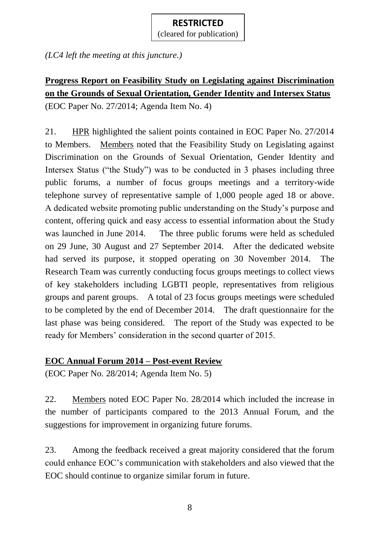(cleared for publication)

*(LC4 left the meeting at this juncture.)*

# **Progress Report on Feasibility Study on Legislating against Discrimination on the Grounds of Sexual Orientation, Gender Identity and Intersex Status**

(EOC Paper No. 27/2014; Agenda Item No. 4)

21. HPR highlighted the salient points contained in EOC Paper No. 27/2014 to Members. Members noted that the Feasibility Study on Legislating against Discrimination on the Grounds of Sexual Orientation, Gender Identity and Intersex Status ("the Study") was to be conducted in 3 phases including three public forums, a number of focus groups meetings and a territory-wide telephone survey of representative sample of 1,000 people aged 18 or above. A dedicated website promoting public understanding on the Study's purpose and content, offering quick and easy access to essential information about the Study was launched in June 2014. The three public forums were held as scheduled on 29 June, 30 August and 27 September 2014. After the dedicated website had served its purpose, it stopped operating on 30 November 2014. The Research Team was currently conducting focus groups meetings to collect views of key stakeholders including LGBTI people, representatives from religious groups and parent groups. A total of 23 focus groups meetings were scheduled to be completed by the end of December 2014. The draft questionnaire for the last phase was being considered. The report of the Study was expected to be ready for Members' consideration in the second quarter of 2015.

### **EOC Annual Forum 2014 – Post-event Review**

(EOC Paper No. 28/2014; Agenda Item No. 5)

22. Members noted EOC Paper No. 28/2014 which included the increase in the number of participants compared to the 2013 Annual Forum, and the suggestions for improvement in organizing future forums.

23. Among the feedback received a great majority considered that the forum could enhance EOC's communication with stakeholders and also viewed that the EOC should continue to organize similar forum in future.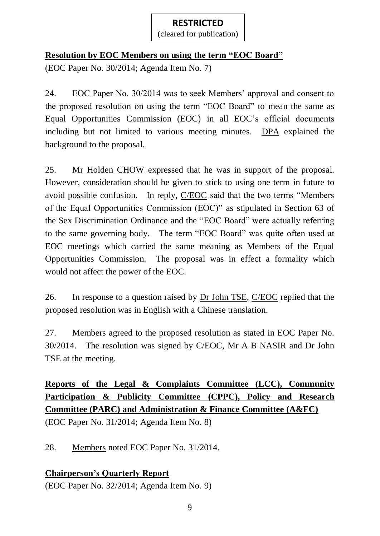# **Resolution by EOC Members on using the term "EOC Board"**

(EOC Paper No. 30/2014; Agenda Item No. 7)

24. EOC Paper No. 30/2014 was to seek Members' approval and consent to the proposed resolution on using the term "EOC Board" to mean the same as Equal Opportunities Commission (EOC) in all EOC's official documents including but not limited to various meeting minutes. DPA explained the background to the proposal.

25. Mr Holden CHOW expressed that he was in support of the proposal. However, consideration should be given to stick to using one term in future to avoid possible confusion. In reply, C/EOC said that the two terms "Members of the Equal Opportunities Commission (EOC)" as stipulated in Section 63 of the Sex Discrimination Ordinance and the "EOC Board" were actually referring to the same governing body. The term "EOC Board" was quite often used at EOC meetings which carried the same meaning as Members of the Equal Opportunities Commission. The proposal was in effect a formality which would not affect the power of the EOC.

26. In response to a question raised by Dr John TSE, C/EOC replied that the proposed resolution was in English with a Chinese translation.

27. Members agreed to the proposed resolution as stated in EOC Paper No. 30/2014. The resolution was signed by C/EOC, Mr A B NASIR and Dr John TSE at the meeting.

# **Reports of the Legal & Complaints Committee (LCC), Community Participation & Publicity Committee (CPPC), Policy and Research Committee (PARC) and Administration & Finance Committee (A&FC)**

(EOC Paper No. 31/2014; Agenda Item No. 8)

28. Members noted EOC Paper No. 31/2014.

# **Chairperson's Quarterly Report**

(EOC Paper No. 32/2014; Agenda Item No. 9)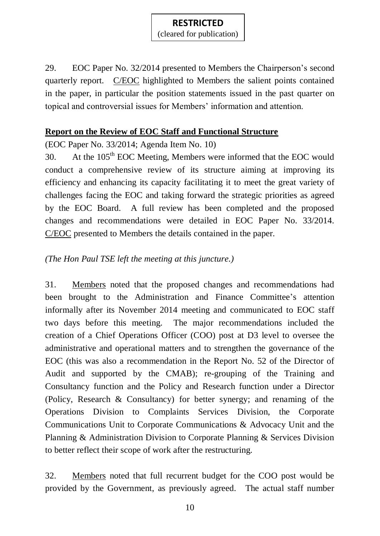(cleared for publication)

29. EOC Paper No. 32/2014 presented to Members the Chairperson's second quarterly report. C/EOC highlighted to Members the salient points contained in the paper, in particular the position statements issued in the past quarter on topical and controversial issues for Members' information and attention.

### **Report on the Review of EOC Staff and Functional Structure**

(EOC Paper No. 33/2014; Agenda Item No. 10)

30. At the  $105<sup>th</sup>$  EOC Meeting, Members were informed that the EOC would conduct a comprehensive review of its structure aiming at improving its efficiency and enhancing its capacity facilitating it to meet the great variety of challenges facing the EOC and taking forward the strategic priorities as agreed by the EOC Board. A full review has been completed and the proposed changes and recommendations were detailed in EOC Paper No. 33/2014. C/EOC presented to Members the details contained in the paper.

# *(The Hon Paul TSE left the meeting at this juncture.)*

31. Members noted that the proposed changes and recommendations had been brought to the Administration and Finance Committee's attention informally after its November 2014 meeting and communicated to EOC staff two days before this meeting. The major recommendations included the creation of a Chief Operations Officer (COO) post at D3 level to oversee the administrative and operational matters and to strengthen the governance of the EOC (this was also a recommendation in the Report No. 52 of the Director of Audit and supported by the CMAB); re-grouping of the Training and Consultancy function and the Policy and Research function under a Director (Policy, Research & Consultancy) for better synergy; and renaming of the Operations Division to Complaints Services Division, the Corporate Communications Unit to Corporate Communications & Advocacy Unit and the Planning & Administration Division to Corporate Planning & Services Division to better reflect their scope of work after the restructuring.

32. Members noted that full recurrent budget for the COO post would be provided by the Government, as previously agreed. The actual staff number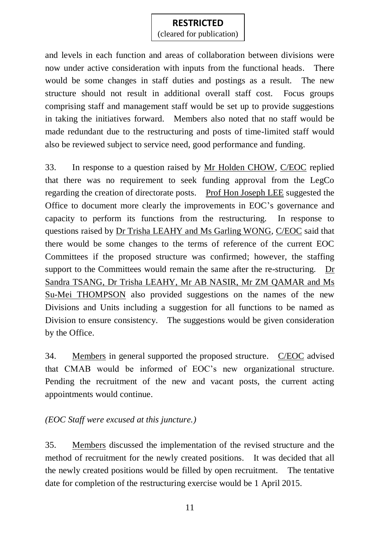(cleared for publication)

and levels in each function and areas of collaboration between divisions were now under active consideration with inputs from the functional heads. There would be some changes in staff duties and postings as a result. The new structure should not result in additional overall staff cost. Focus groups comprising staff and management staff would be set up to provide suggestions in taking the initiatives forward. Members also noted that no staff would be made redundant due to the restructuring and posts of time-limited staff would also be reviewed subject to service need, good performance and funding.

33. In response to a question raised by Mr Holden CHOW, C/EOC replied that there was no requirement to seek funding approval from the LegCo regarding the creation of directorate posts. Prof Hon Joseph LEE suggested the Office to document more clearly the improvements in EOC's governance and capacity to perform its functions from the restructuring. In response to questions raised by Dr Trisha LEAHY and Ms Garling WONG, C/EOC said that there would be some changes to the terms of reference of the current EOC Committees if the proposed structure was confirmed; however, the staffing support to the Committees would remain the same after the re-structuring. Dr Sandra TSANG, Dr Trisha LEAHY, Mr AB NASIR, Mr ZM QAMAR and Ms Su-Mei THOMPSON also provided suggestions on the names of the new Divisions and Units including a suggestion for all functions to be named as Division to ensure consistency. The suggestions would be given consideration by the Office.

34. Members in general supported the proposed structure. C/EOC advised that CMAB would be informed of EOC's new organizational structure. Pending the recruitment of the new and vacant posts, the current acting appointments would continue.

*(EOC Staff were excused at this juncture.)*

35. Members discussed the implementation of the revised structure and the method of recruitment for the newly created positions. It was decided that all the newly created positions would be filled by open recruitment. The tentative date for completion of the restructuring exercise would be 1 April 2015.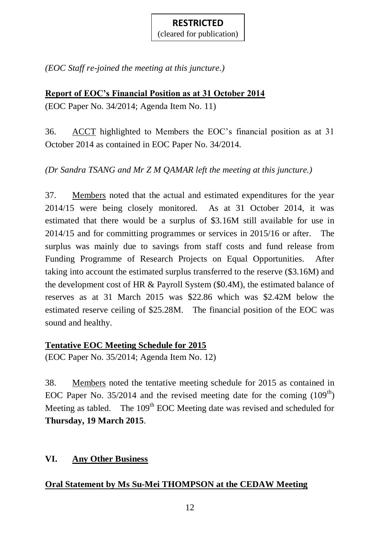*(EOC Staff re-joined the meeting at this juncture.)*

# **Report of EOC's Financial Position as at 31 October 2014**

(EOC Paper No. 34/2014; Agenda Item No. 11)

36. ACCT highlighted to Members the EOC's financial position as at 31 October 2014 as contained in EOC Paper No. 34/2014.

*(Dr Sandra TSANG and Mr Z M QAMAR left the meeting at this juncture.)*

37. Members noted that the actual and estimated expenditures for the year 2014/15 were being closely monitored. As at 31 October 2014, it was estimated that there would be a surplus of \$3.16M still available for use in 2014/15 and for committing programmes or services in 2015/16 or after. The surplus was mainly due to savings from staff costs and fund release from Funding Programme of Research Projects on Equal Opportunities. After taking into account the estimated surplus transferred to the reserve (\$3.16M) and the development cost of HR & Payroll System (\$0.4M), the estimated balance of reserves as at 31 March 2015 was \$22.86 which was \$2.42M below the estimated reserve ceiling of \$25.28M. The financial position of the EOC was sound and healthy.

# **Tentative EOC Meeting Schedule for 2015**

(EOC Paper No. 35/2014; Agenda Item No. 12)

38. Members noted the tentative meeting schedule for 2015 as contained in EOC Paper No.  $35/2014$  and the revised meeting date for the coming  $(109<sup>th</sup>)$ Meeting as tabled. The 109<sup>th</sup> EOC Meeting date was revised and scheduled for **Thursday, 19 March 2015**.

# **VI. Any Other Business**

# **Oral Statement by Ms Su-Mei THOMPSON at the CEDAW Meeting**